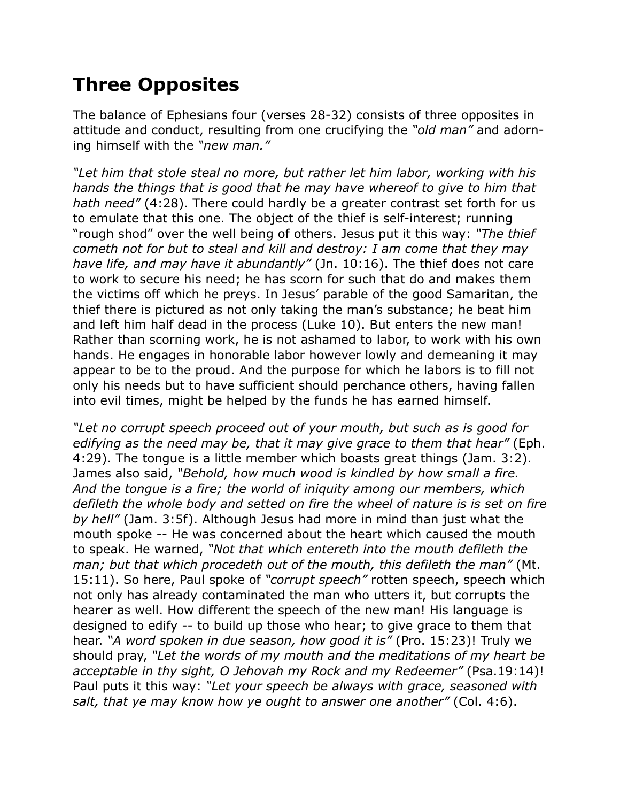## **Three Opposites**

The balance of Ephesians four (verses 28-32) consists of three opposites in attitude and conduct, resulting from one crucifying the *"old man"* and adorning himself with the *"new man."*

*"Let him that stole steal no more, but rather let him labor, working with his hands the things that is good that he may have whereof to give to him that hath need"* (4:28). There could hardly be a greater contrast set forth for us to emulate that this one. The object of the thief is self-interest; running "rough shod" over the well being of others. Jesus put it this way: *"The thief cometh not for but to steal and kill and destroy: I am come that they may have life, and may have it abundantly"* (Jn. 10:16). The thief does not care to work to secure his need; he has scorn for such that do and makes them the victims off which he preys. In Jesus' parable of the good Samaritan, the thief there is pictured as not only taking the man's substance; he beat him and left him half dead in the process (Luke 10). But enters the new man! Rather than scorning work, he is not ashamed to labor, to work with his own hands. He engages in honorable labor however lowly and demeaning it may appear to be to the proud. And the purpose for which he labors is to fill not only his needs but to have sufficient should perchance others, having fallen into evil times, might be helped by the funds he has earned himself.

*"Let no corrupt speech proceed out of your mouth, but such as is good for edifying as the need may be, that it may give grace to them that hear"* (Eph. 4:29). The tongue is a little member which boasts great things (Jam. 3:2). James also said, *"Behold, how much wood is kindled by how small a fire. And the tongue is a fire; the world of iniquity among our members, which defileth the whole body and setted on fire the wheel of nature is is set on fire by hell"* (Jam. 3:5f). Although Jesus had more in mind than just what the mouth spoke -- He was concerned about the heart which caused the mouth to speak. He warned, *"Not that which entereth into the mouth defileth the man; but that which procedeth out of the mouth, this defileth the man"* (Mt. 15:11). So here, Paul spoke of *"corrupt speech"* rotten speech, speech which not only has already contaminated the man who utters it, but corrupts the hearer as well. How different the speech of the new man! His language is designed to edify -- to build up those who hear; to give grace to them that hear. *"A word spoken in due season, how good it is"* (Pro. 15:23)! Truly we should pray, *"Let the words of my mouth and the meditations of my heart be acceptable in thy sight, O Jehovah my Rock and my Redeemer"* (Psa.19:14)! Paul puts it this way: *"Let your speech be always with grace, seasoned with salt, that ye may know how ye ought to answer one another"* (Col. 4:6).